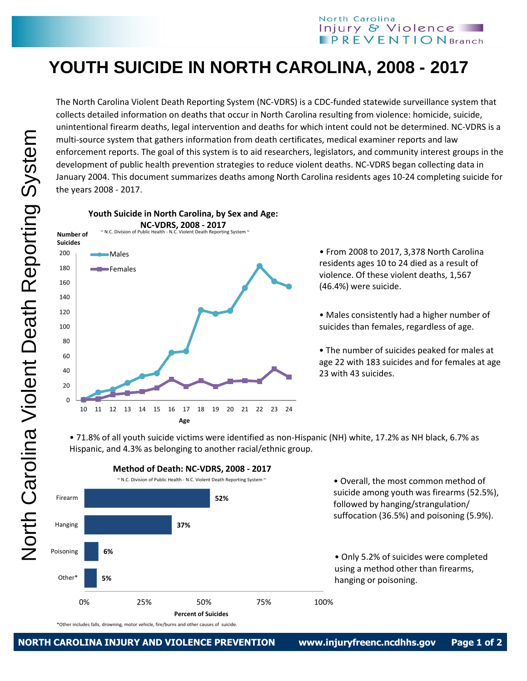## **YOUTH SUICIDE IN NORTH CAROLINA, 2008 - 2017**

The North Carolina Violent Death Reporting System (NC-VDRS) is a CDC-funded statewide surveillance system that collects detailed information on deaths that occur in North Carolina resulting from violence: homicide, suicide, unintentional firearm deaths, legal intervention and deaths for which intent could not be determined. NC-VDRS is a multi-source system that gathers information from death certificates, medical examiner reports and law enforcement reports. The goal of this system is to aid researchers, legislators, and community interest groups in the development of public health prevention strategies to reduce violent deaths. NC-VDRS began collecting data in January 2004. This document summarizes deaths among North Carolina residents ages 10-24 completing suicide for the years 2008 - 2017.



• From 2008 to 2017, 3,378 North Carolina residents ages 10 to 24 died as a result of violence. Of these violent deaths, 1,567 (46.4%) were suicide.

• Males consistently had a higher number of suicides than females, regardless of age.

• The number of suicides peaked for males at age 22 with 183 suicides and for females at age 23 with 43 suicides.

• 71.8% of all youth suicide victims were identified as non-Hispanic (NH) white, 17.2% as NH black, 6.7% as Hispanic, and 4.3% as belonging to another racial/ethnic group.



\*Other includes falls, drowning, motor vehicle, fire/burns and other causes of suicide.